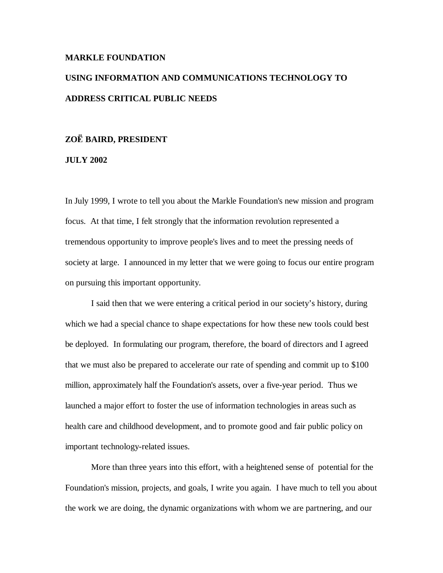## **MARKLE FOUNDATION**

# **USING INFORMATION AND COMMUNICATIONS TECHNOLOGY TO ADDRESS CRITICAL PUBLIC NEEDS**

# **ZO BAIRD, PRESIDENT**

# **JULY 2002**

In July 1999, I wrote to tell you about the Markle Foundation's new mission and program focus. At that time, I felt strongly that the information revolution represented a tremendous opportunity to improve people's lives and to meet the pressing needs of society at large. I announced in my letter that we were going to focus our entire program on pursuing this important opportunity.

I said then that we were entering a critical period in our society's history, during which we had a special chance to shape expectations for how these new tools could best be deployed. In formulating our program, therefore, the board of directors and I agreed that we must also be prepared to accelerate our rate of spending and commit up to \$100 million, approximately half the Foundation's assets, over a five-year period. Thus we launched a major effort to foster the use of information technologies in areas such as health care and childhood development, and to promote good and fair public policy on important technology-related issues.

More than three years into this effort, with a heightened sense of potential for the Foundation's mission, projects, and goals, I write you again. I have much to tell you about the work we are doing, the dynamic organizations with whom we are partnering, and our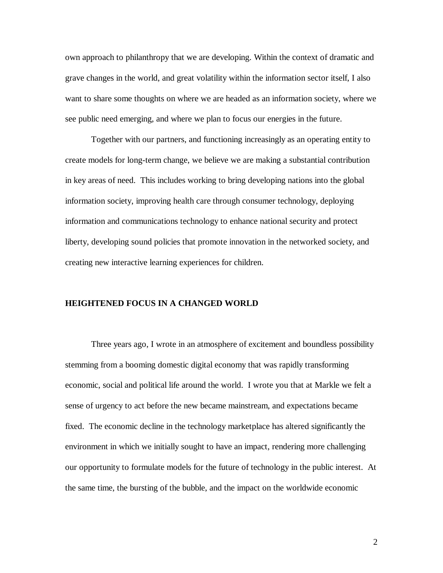own approach to philanthropy that we are developing. Within the context of dramatic and grave changes in the world, and great volatility within the information sector itself, I also want to share some thoughts on where we are headed as an information society, where we see public need emerging, and where we plan to focus our energies in the future.

Together with our partners, and functioning increasingly as an operating entity to create models for long-term change, we believe we are making a substantial contribution in key areas of need. This includes working to bring developing nations into the global information society, improving health care through consumer technology, deploying information and communications technology to enhance national security and protect liberty, developing sound policies that promote innovation in the networked society, and creating new interactive learning experiences for children.

#### **HEIGHTENED FOCUS IN A CHANGED WORLD**

Three years ago, I wrote in an atmosphere of excitement and boundless possibility stemming from a booming domestic digital economy that was rapidly transforming economic, social and political life around the world. I wrote you that at Markle we felt a sense of urgency to act before the new became mainstream, and expectations became fixed. The economic decline in the technology marketplace has altered significantly the environment in which we initially sought to have an impact, rendering more challenging our opportunity to formulate models for the future of technology in the public interest. At the same time, the bursting of the bubble, and the impact on the worldwide economic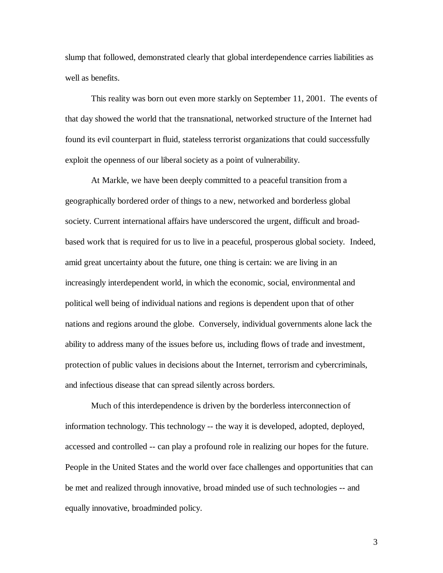slump that followed, demonstrated clearly that global interdependence carries liabilities as well as benefits.

This reality was born out even more starkly on September 11, 2001. The events of that day showed the world that the transnational, networked structure of the Internet had found its evil counterpart in fluid, stateless terrorist organizations that could successfully exploit the openness of our liberal society as a point of vulnerability.

At Markle, we have been deeply committed to a peaceful transition from a geographically bordered order of things to a new, networked and borderless global society. Current international affairs have underscored the urgent, difficult and broadbased work that is required for us to live in a peaceful, prosperous global society. Indeed, amid great uncertainty about the future, one thing is certain: we are living in an increasingly interdependent world, in which the economic, social, environmental and political well being of individual nations and regions is dependent upon that of other nations and regions around the globe. Conversely, individual governments alone lack the ability to address many of the issues before us, including flows of trade and investment, protection of public values in decisions about the Internet, terrorism and cybercriminals, and infectious disease that can spread silently across borders.

Much of this interdependence is driven by the borderless interconnection of information technology. This technology -- the way it is developed, adopted, deployed, accessed and controlled -- can play a profound role in realizing our hopes for the future. People in the United States and the world over face challenges and opportunities that can be met and realized through innovative, broad minded use of such technologies -- and equally innovative, broadminded policy.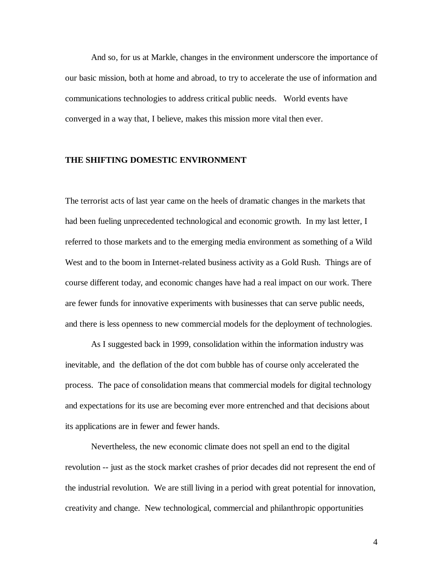And so, for us at Markle, changes in the environment underscore the importance of our basic mission, both at home and abroad, to try to accelerate the use of information and communications technologies to address critical public needs. World events have converged in a way that, I believe, makes this mission more vital then ever.

# **THE SHIFTING DOMESTIC ENVIRONMENT**

The terrorist acts of last year came on the heels of dramatic changes in the markets that had been fueling unprecedented technological and economic growth. In my last letter, I referred to those markets and to the emerging media environment as something of a Wild West and to the boom in Internet-related business activity as a Gold Rush. Things are of course different today, and economic changes have had a real impact on our work. There are fewer funds for innovative experiments with businesses that can serve public needs, and there is less openness to new commercial models for the deployment of technologies.

As I suggested back in 1999, consolidation within the information industry was inevitable, and the deflation of the dot com bubble has of course only accelerated the process. The pace of consolidation means that commercial models for digital technology and expectations for its use are becoming ever more entrenched and that decisions about its applications are in fewer and fewer hands.

Nevertheless, the new economic climate does not spell an end to the digital revolution -- just as the stock market crashes of prior decades did not represent the end of the industrial revolution. We are still living in a period with great potential for innovation, creativity and change. New technological, commercial and philanthropic opportunities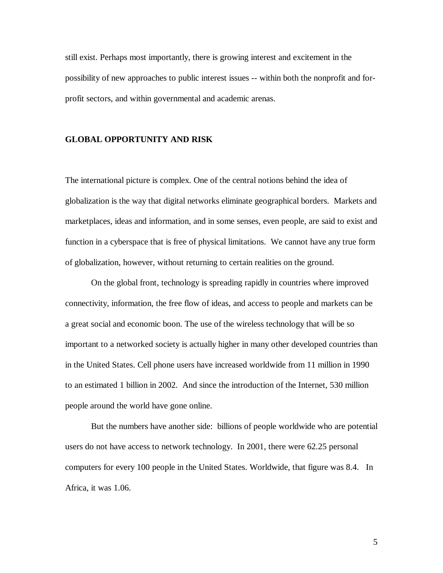still exist. Perhaps most importantly, there is growing interest and excitement in the possibility of new approaches to public interest issues -- within both the nonprofit and forprofit sectors, and within governmental and academic arenas.

# **GLOBAL OPPORTUNITY AND RISK**

The international picture is complex. One of the central notions behind the idea of globalization is the way that digital networks eliminate geographical borders. Markets and marketplaces, ideas and information, and in some senses, even people, are said to exist and function in a cyberspace that is free of physical limitations. We cannot have any true form of globalization, however, without returning to certain realities on the ground.

On the global front, technology is spreading rapidly in countries where improved connectivity, information, the free flow of ideas, and access to people and markets can be a great social and economic boon. The use of the wireless technology that will be so important to a networked society is actually higher in many other developed countries than in the United States. Cell phone users have increased worldwide from 11 million in 1990 to an estimated 1 billion in 2002. And since the introduction of the Internet, 530 million people around the world have gone online.

But the numbers have another side: billions of people worldwide who are potential users do not have access to network technology. In 2001, there were 62.25 personal computers for every 100 people in the United States. Worldwide, that figure was 8.4. In Africa, it was 1.06.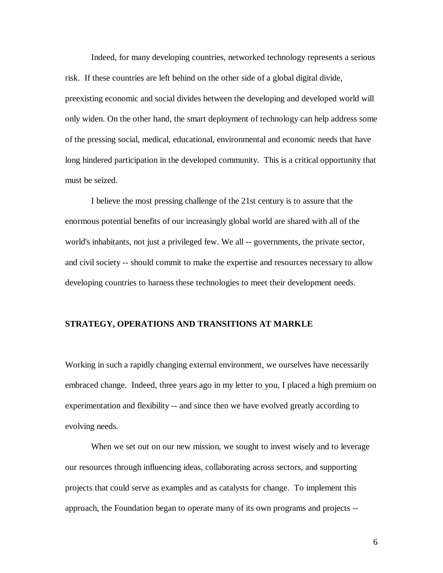Indeed, for many developing countries, networked technology represents a serious risk. If these countries are left behind on the other side of a global digital divide, preexisting economic and social divides between the developing and developed world will only widen. On the other hand, the smart deployment of technology can help address some of the pressing social, medical, educational, environmental and economic needs that have long hindered participation in the developed community. This is a critical opportunity that must be seized.

I believe the most pressing challenge of the 21st century is to assure that the enormous potential benefits of our increasingly global world are shared with all of the world's inhabitants, not just a privileged few. We all -- governments, the private sector, and civil society -- should commit to make the expertise and resources necessary to allow developing countries to harness these technologies to meet their development needs.

# **STRATEGY, OPERATIONS AND TRANSITIONS AT MARKLE**

Working in such a rapidly changing external environment, we ourselves have necessarily embraced change. Indeed, three years ago in my letter to you, I placed a high premium on experimentation and flexibility -- and since then we have evolved greatly according to evolving needs.

When we set out on our new mission, we sought to invest wisely and to leverage our resources through influencing ideas, collaborating across sectors, and supporting projects that could serve as examples and as catalysts for change. To implement this approach, the Foundation began to operate many of its own programs and projects --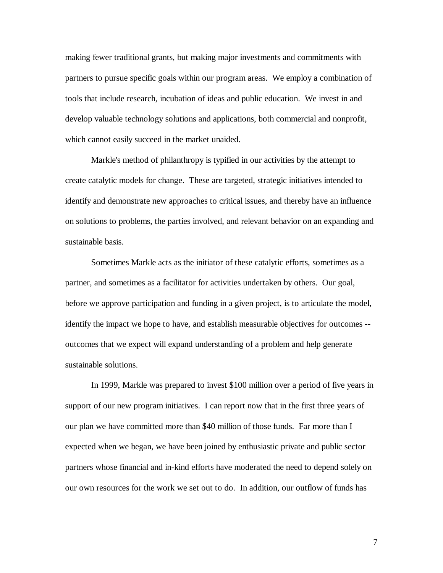making fewer traditional grants, but making major investments and commitments with partners to pursue specific goals within our program areas. We employ a combination of tools that include research, incubation of ideas and public education. We invest in and develop valuable technology solutions and applications, both commercial and nonprofit, which cannot easily succeed in the market unaided.

Markle's method of philanthropy is typified in our activities by the attempt to create catalytic models for change. These are targeted, strategic initiatives intended to identify and demonstrate new approaches to critical issues, and thereby have an influence on solutions to problems, the parties involved, and relevant behavior on an expanding and sustainable basis.

Sometimes Markle acts as the initiator of these catalytic efforts, sometimes as a partner, and sometimes as a facilitator for activities undertaken by others. Our goal, before we approve participation and funding in a given project, is to articulate the model, identify the impact we hope to have, and establish measurable objectives for outcomes - outcomes that we expect will expand understanding of a problem and help generate sustainable solutions.

In 1999, Markle was prepared to invest \$100 million over a period of five years in support of our new program initiatives. I can report now that in the first three years of our plan we have committed more than \$40 million of those funds. Far more than I expected when we began, we have been joined by enthusiastic private and public sector partners whose financial and in-kind efforts have moderated the need to depend solely on our own resources for the work we set out to do. In addition, our outflow of funds has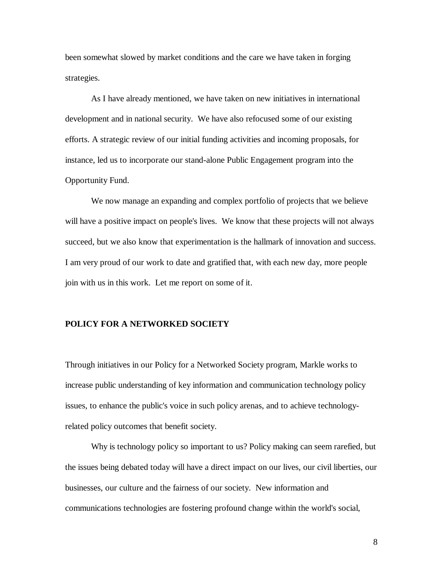been somewhat slowed by market conditions and the care we have taken in forging strategies.

As I have already mentioned, we have taken on new initiatives in international development and in national security. We have also refocused some of our existing efforts. A strategic review of our initial funding activities and incoming proposals, for instance, led us to incorporate our stand-alone Public Engagement program into the Opportunity Fund.

We now manage an expanding and complex portfolio of projects that we believe will have a positive impact on people's lives. We know that these projects will not always succeed, but we also know that experimentation is the hallmark of innovation and success. I am very proud of our work to date and gratified that, with each new day, more people join with us in this work. Let me report on some of it.

# **POLICY FOR A NETWORKED SOCIETY**

Through initiatives in our Policy for a Networked Society program, Markle works to increase public understanding of key information and communication technology policy issues, to enhance the public's voice in such policy arenas, and to achieve technologyrelated policy outcomes that benefit society.

Why is technology policy so important to us? Policy making can seem rarefied, but the issues being debated today will have a direct impact on our lives, our civil liberties, our businesses, our culture and the fairness of our society. New information and communications technologies are fostering profound change within the world's social,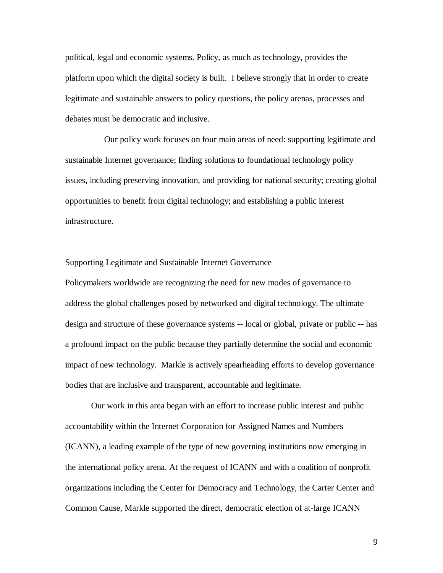political, legal and economic systems. Policy, as much as technology, provides the platform upon which the digital society is built. I believe strongly that in order to create legitimate and sustainable answers to policy questions, the policy arenas, processes and debates must be democratic and inclusive.

Our policy work focuses on four main areas of need: supporting legitimate and sustainable Internet governance; finding solutions to foundational technology policy issues, including preserving innovation, and providing for national security; creating global opportunities to benefit from digital technology; and establishing a public interest infrastructure.

# Supporting Legitimate and Sustainable Internet Governance

Policymakers worldwide are recognizing the need for new modes of governance to address the global challenges posed by networked and digital technology. The ultimate design and structure of these governance systems -- local or global, private or public -- has a profound impact on the public because they partially determine the social and economic impact of new technology. Markle is actively spearheading efforts to develop governance bodies that are inclusive and transparent, accountable and legitimate.

Our work in this area began with an effort to increase public interest and public accountability within the Internet Corporation for Assigned Names and Numbers (ICANN), a leading example of the type of new governing institutions now emerging in the international policy arena. At the request of ICANN and with a coalition of nonprofit organizations including the Center for Democracy and Technology, the Carter Center and Common Cause, Markle supported the direct, democratic election of at-large ICANN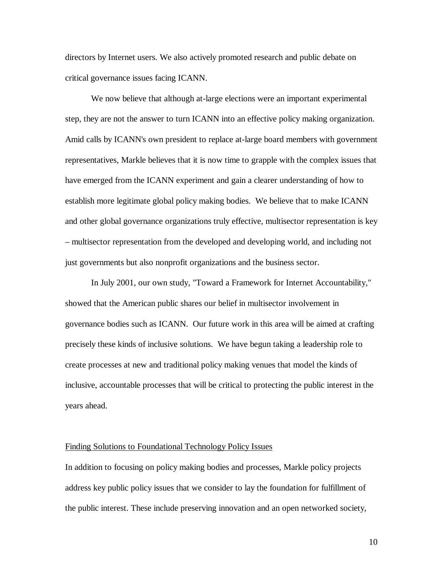directors by Internet users. We also actively promoted research and public debate on critical governance issues facing ICANN.

We now believe that although at-large elections were an important experimental step, they are not the answer to turn ICANN into an effective policy making organization. Amid calls by ICANN's own president to replace at-large board members with government representatives, Markle believes that it is now time to grapple with the complex issues that have emerged from the ICANN experiment and gain a clearer understanding of how to establish more legitimate global policy making bodies. We believe that to make ICANN and other global governance organizations truly effective, multisector representation is key – multisector representation from the developed and developing world, and including not just governments but also nonprofit organizations and the business sector.

In July 2001, our own study, "Toward a Framework for Internet Accountability," showed that the American public shares our belief in multisector involvement in governance bodies such as ICANN. Our future work in this area will be aimed at crafting precisely these kinds of inclusive solutions. We have begun taking a leadership role to create processes at new and traditional policy making venues that model the kinds of inclusive, accountable processes that will be critical to protecting the public interest in the years ahead.

## Finding Solutions to Foundational Technology Policy Issues

In addition to focusing on policy making bodies and processes, Markle policy projects address key public policy issues that we consider to lay the foundation for fulfillment of the public interest. These include preserving innovation and an open networked society,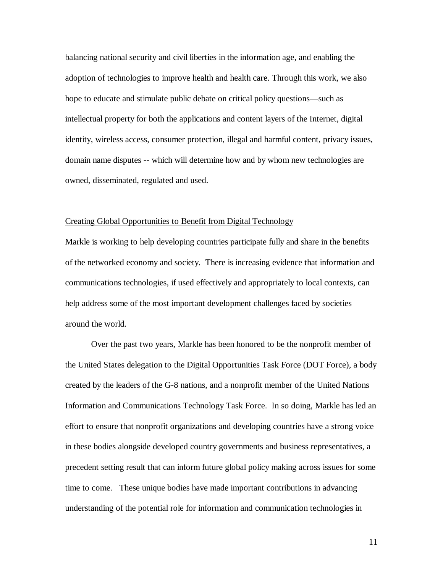balancing national security and civil liberties in the information age, and enabling the adoption of technologies to improve health and health care. Through this work, we also hope to educate and stimulate public debate on critical policy questions—such as intellectual property for both the applications and content layers of the Internet, digital identity, wireless access, consumer protection, illegal and harmful content, privacy issues, domain name disputes -- which will determine how and by whom new technologies are owned, disseminated, regulated and used.

#### Creating Global Opportunities to Benefit from Digital Technology

Markle is working to help developing countries participate fully and share in the benefits of the networked economy and society. There is increasing evidence that information and communications technologies, if used effectively and appropriately to local contexts, can help address some of the most important development challenges faced by societies around the world.

Over the past two years, Markle has been honored to be the nonprofit member of the United States delegation to the Digital Opportunities Task Force (DOT Force), a body created by the leaders of the G-8 nations, and a nonprofit member of the United Nations Information and Communications Technology Task Force. In so doing, Markle has led an effort to ensure that nonprofit organizations and developing countries have a strong voice in these bodies alongside developed country governments and business representatives, a precedent setting result that can inform future global policy making across issues for some time to come. These unique bodies have made important contributions in advancing understanding of the potential role for information and communication technologies in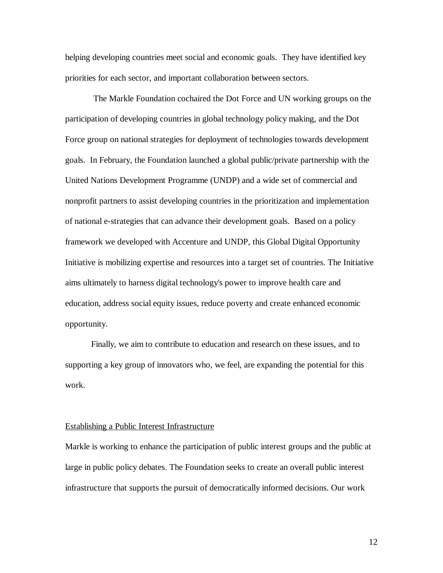helping developing countries meet social and economic goals. They have identified key priorities for each sector, and important collaboration between sectors.

The Markle Foundation cochaired the Dot Force and UN working groups on the participation of developing countries in global technology policy making, and the Dot Force group on national strategies for deployment of technologies towards development goals. In February, the Foundation launched a global public/private partnership with the United Nations Development Programme (UNDP) and a wide set of commercial and nonprofit partners to assist developing countries in the prioritization and implementation of national e-strategies that can advance their development goals. Based on a policy framework we developed with Accenture and UNDP, this Global Digital Opportunity Initiative is mobilizing expertise and resources into a target set of countries. The Initiative aims ultimately to harness digital technology's power to improve health care and education, address social equity issues, reduce poverty and create enhanced economic opportunity.

Finally, we aim to contribute to education and research on these issues, and to supporting a key group of innovators who, we feel, are expanding the potential for this work.

## Establishing a Public Interest Infrastructure

Markle is working to enhance the participation of public interest groups and the public at large in public policy debates. The Foundation seeks to create an overall public interest infrastructure that supports the pursuit of democratically informed decisions. Our work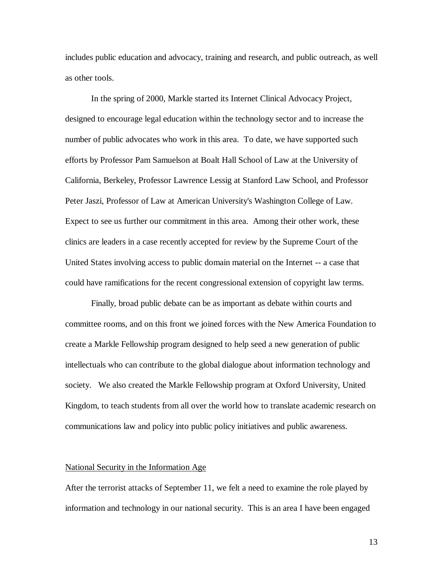includes public education and advocacy, training and research, and public outreach, as well as other tools.

In the spring of 2000, Markle started its Internet Clinical Advocacy Project, designed to encourage legal education within the technology sector and to increase the number of public advocates who work in this area. To date, we have supported such efforts by Professor Pam Samuelson at Boalt Hall School of Law at the University of California, Berkeley, Professor Lawrence Lessig at Stanford Law School, and Professor Peter Jaszi, Professor of Law at American University's Washington College of Law. Expect to see us further our commitment in this area. Among their other work, these clinics are leaders in a case recently accepted for review by the Supreme Court of the United States involving access to public domain material on the Internet -- a case that could have ramifications for the recent congressional extension of copyright law terms.

Finally, broad public debate can be as important as debate within courts and committee rooms, and on this front we joined forces with the New America Foundation to create a Markle Fellowship program designed to help seed a new generation of public intellectuals who can contribute to the global dialogue about information technology and society. We also created the Markle Fellowship program at Oxford University, United Kingdom, to teach students from all over the world how to translate academic research on communications law and policy into public policy initiatives and public awareness.

# National Security in the Information Age

After the terrorist attacks of September 11, we felt a need to examine the role played by information and technology in our national security. This is an area I have been engaged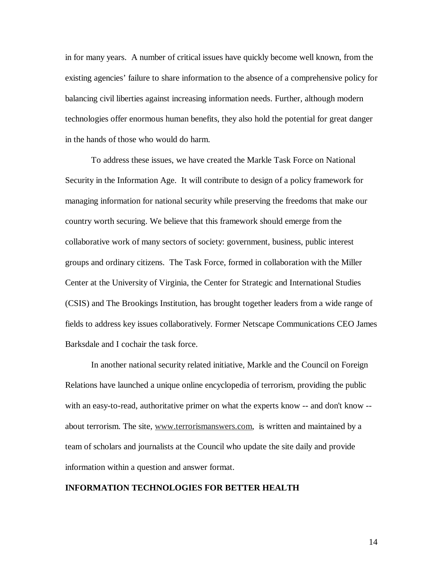in for many years. A number of critical issues have quickly become well known, from the existing agencies' failure to share information to the absence of a comprehensive policy for balancing civil liberties against increasing information needs. Further, although modern technologies offer enormous human benefits, they also hold the potential for great danger in the hands of those who would do harm.

To address these issues, we have created the Markle Task Force on National Security in the Information Age. It will contribute to design of a policy framework for managing information for national security while preserving the freedoms that make our country worth securing. We believe that this framework should emerge from the collaborative work of many sectors of society: government, business, public interest groups and ordinary citizens. The Task Force, formed in collaboration with the Miller Center at the University of Virginia, the Center for Strategic and International Studies (CSIS) and The Brookings Institution, has brought together leaders from a wide range of fields to address key issues collaboratively. Former Netscape Communications CEO James Barksdale and I cochair the task force.

In another national security related initiative, Markle and the Council on Foreign Relations have launched a unique online encyclopedia of terrorism, providing the public with an easy-to-read, authoritative primer on what the experts know -- and don't know - about terrorism. The site, www.terrorismanswers.com, is written and maintained by a team of scholars and journalists at the Council who update the site daily and provide information within a question and answer format.

# **INFORMATION TECHNOLOGIES FOR BETTER HEALTH**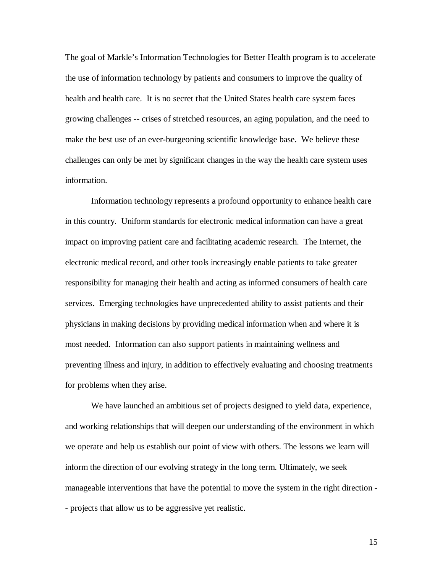The goal of Markle's Information Technologies for Better Health program is to accelerate the use of information technology by patients and consumers to improve the quality of health and health care. It is no secret that the United States health care system faces growing challenges -- crises of stretched resources, an aging population, and the need to make the best use of an ever-burgeoning scientific knowledge base. We believe these challenges can only be met by significant changes in the way the health care system uses information.

Information technology represents a profound opportunity to enhance health care in this country. Uniform standards for electronic medical information can have a great impact on improving patient care and facilitating academic research. The Internet, the electronic medical record, and other tools increasingly enable patients to take greater responsibility for managing their health and acting as informed consumers of health care services. Emerging technologies have unprecedented ability to assist patients and their physicians in making decisions by providing medical information when and where it is most needed. Information can also support patients in maintaining wellness and preventing illness and injury, in addition to effectively evaluating and choosing treatments for problems when they arise.

We have launched an ambitious set of projects designed to yield data, experience, and working relationships that will deepen our understanding of the environment in which we operate and help us establish our point of view with others. The lessons we learn will inform the direction of our evolving strategy in the long term. Ultimately, we seek manageable interventions that have the potential to move the system in the right direction - - projects that allow us to be aggressive yet realistic.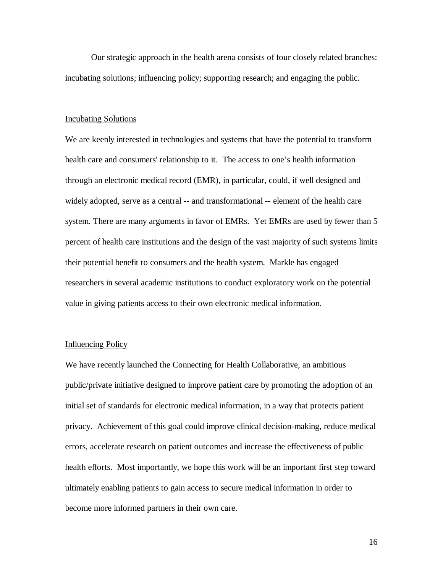Our strategic approach in the health arena consists of four closely related branches: incubating solutions; influencing policy; supporting research; and engaging the public.

#### Incubating Solutions

We are keenly interested in technologies and systems that have the potential to transform health care and consumers' relationship to it. The access to one's health information through an electronic medical record (EMR), in particular, could, if well designed and widely adopted, serve as a central -- and transformational -- element of the health care system. There are many arguments in favor of EMRs. Yet EMRs are used by fewer than 5 percent of health care institutions and the design of the vast majority of such systems limits their potential benefit to consumers and the health system. Markle has engaged researchers in several academic institutions to conduct exploratory work on the potential value in giving patients access to their own electronic medical information.

# Influencing Policy

We have recently launched the Connecting for Health Collaborative, an ambitious public/private initiative designed to improve patient care by promoting the adoption of an initial set of standards for electronic medical information, in a way that protects patient privacy. Achievement of this goal could improve clinical decision-making, reduce medical errors, accelerate research on patient outcomes and increase the effectiveness of public health efforts. Most importantly, we hope this work will be an important first step toward ultimately enabling patients to gain access to secure medical information in order to become more informed partners in their own care.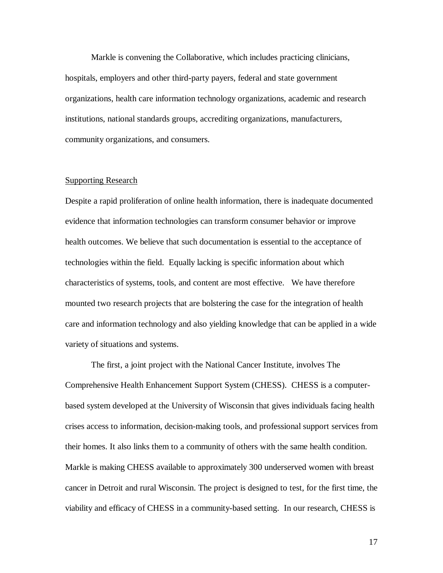Markle is convening the Collaborative, which includes practicing clinicians, hospitals, employers and other third-party payers, federal and state government organizations, health care information technology organizations, academic and research institutions, national standards groups, accrediting organizations, manufacturers, community organizations, and consumers.

# Supporting Research

Despite a rapid proliferation of online health information, there is inadequate documented evidence that information technologies can transform consumer behavior or improve health outcomes. We believe that such documentation is essential to the acceptance of technologies within the field. Equally lacking is specific information about which characteristics of systems, tools, and content are most effective. We have therefore mounted two research projects that are bolstering the case for the integration of health care and information technology and also yielding knowledge that can be applied in a wide variety of situations and systems.

The first, a joint project with the National Cancer Institute, involves The Comprehensive Health Enhancement Support System (CHESS). CHESS is a computerbased system developed at the University of Wisconsin that gives individuals facing health crises access to information, decision-making tools, and professional support services from their homes. It also links them to a community of others with the same health condition. Markle is making CHESS available to approximately 300 underserved women with breast cancer in Detroit and rural Wisconsin. The project is designed to test, for the first time, the viability and efficacy of CHESS in a community-based setting. In our research, CHESS is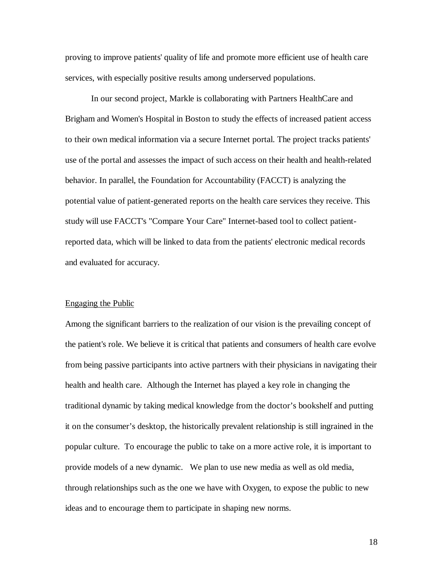proving to improve patients' quality of life and promote more efficient use of health care services, with especially positive results among underserved populations.

In our second project, Markle is collaborating with Partners HealthCare and Brigham and Women's Hospital in Boston to study the effects of increased patient access to their own medical information via a secure Internet portal. The project tracks patients' use of the portal and assesses the impact of such access on their health and health-related behavior. In parallel, the Foundation for Accountability (FACCT) is analyzing the potential value of patient-generated reports on the health care services they receive. This study will use FACCT's "Compare Your Care" Internet-based tool to collect patientreported data, which will be linked to data from the patients' electronic medical records and evaluated for accuracy.

#### Engaging the Public

Among the significant barriers to the realization of our vision is the prevailing concept of the patient's role. We believe it is critical that patients and consumers of health care evolve from being passive participants into active partners with their physicians in navigating their health and health care. Although the Internet has played a key role in changing the traditional dynamic by taking medical knowledge from the doctor's bookshelf and putting it on the consumer's desktop, the historically prevalent relationship is still ingrained in the popular culture. To encourage the public to take on a more active role, it is important to provide models of a new dynamic. We plan to use new media as well as old media, through relationships such as the one we have with Oxygen, to expose the public to new ideas and to encourage them to participate in shaping new norms.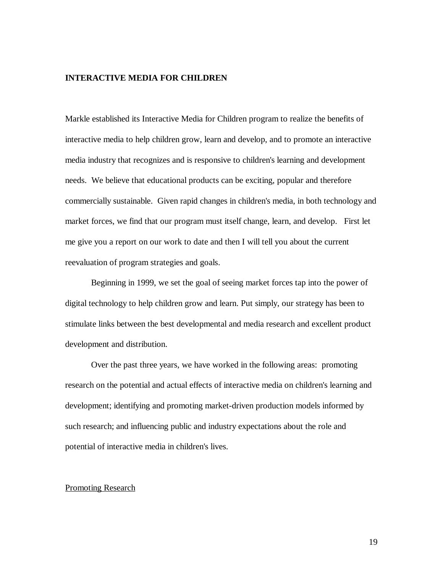## **INTERACTIVE MEDIA FOR CHILDREN**

Markle established its Interactive Media for Children program to realize the benefits of interactive media to help children grow, learn and develop, and to promote an interactive media industry that recognizes and is responsive to children's learning and development needs. We believe that educational products can be exciting, popular and therefore commercially sustainable. Given rapid changes in children's media, in both technology and market forces, we find that our program must itself change, learn, and develop. First let me give you a report on our work to date and then I will tell you about the current reevaluation of program strategies and goals.

Beginning in 1999, we set the goal of seeing market forces tap into the power of digital technology to help children grow and learn. Put simply, our strategy has been to stimulate links between the best developmental and media research and excellent product development and distribution.

Over the past three years, we have worked in the following areas: promoting research on the potential and actual effects of interactive media on children's learning and development; identifying and promoting market-driven production models informed by such research; and influencing public and industry expectations about the role and potential of interactive media in children's lives.

#### Promoting Research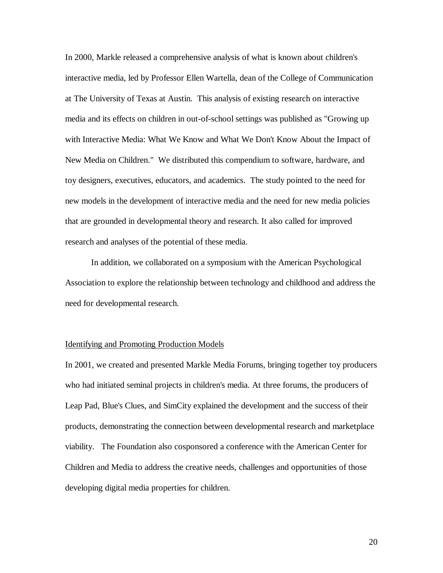In 2000, Markle released a comprehensive analysis of what is known about children's interactive media, led by Professor Ellen Wartella, dean of the College of Communication at The University of Texas at Austin. This analysis of existing research on interactive media and its effects on children in out-of-school settings was published as "Growing up with Interactive Media: What We Know and What We Don't Know About the Impact of New Media on Children." We distributed this compendium to software, hardware, and toy designers, executives, educators, and academics. The study pointed to the need for new models in the development of interactive media and the need for new media policies that are grounded in developmental theory and research. It also called for improved research and analyses of the potential of these media.

In addition, we collaborated on a symposium with the American Psychological Association to explore the relationship between technology and childhood and address the need for developmental research.

#### Identifying and Promoting Production Models

In 2001, we created and presented Markle Media Forums, bringing together toy producers who had initiated seminal projects in children's media. At three forums, the producers of Leap Pad, Blue's Clues, and SimCity explained the development and the success of their products, demonstrating the connection between developmental research and marketplace viability. The Foundation also cosponsored a conference with the American Center for Children and Media to address the creative needs, challenges and opportunities of those developing digital media properties for children.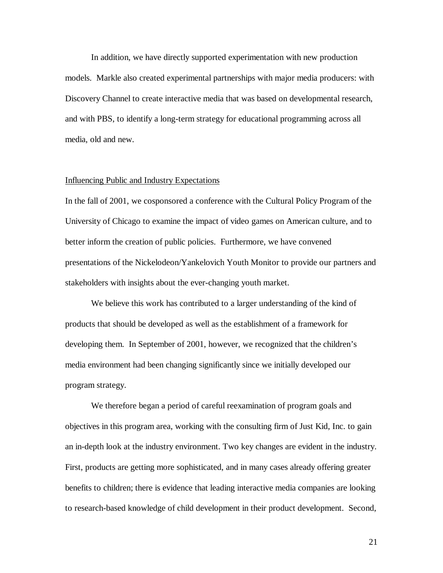In addition, we have directly supported experimentation with new production models. Markle also created experimental partnerships with major media producers: with Discovery Channel to create interactive media that was based on developmental research, and with PBS, to identify a long-term strategy for educational programming across all media, old and new.

# Influencing Public and Industry Expectations

In the fall of 2001, we cosponsored a conference with the Cultural Policy Program of the University of Chicago to examine the impact of video games on American culture, and to better inform the creation of public policies. Furthermore, we have convened presentations of the Nickelodeon/Yankelovich Youth Monitor to provide our partners and stakeholders with insights about the ever-changing youth market.

We believe this work has contributed to a larger understanding of the kind of products that should be developed as well as the establishment of a framework for developing them. In September of 2001, however, we recognized that the children's media environment had been changing significantly since we initially developed our program strategy.

We therefore began a period of careful reexamination of program goals and objectives in this program area, working with the consulting firm of Just Kid, Inc. to gain an in-depth look at the industry environment. Two key changes are evident in the industry. First, products are getting more sophisticated, and in many cases already offering greater benefits to children; there is evidence that leading interactive media companies are looking to research-based knowledge of child development in their product development. Second,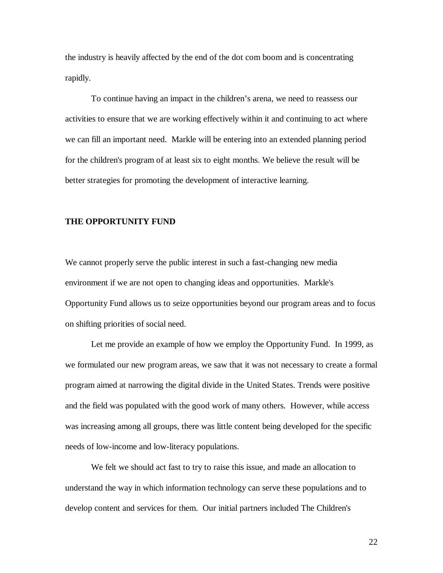the industry is heavily affected by the end of the dot com boom and is concentrating rapidly.

To continue having an impact in the children's arena, we need to reassess our activities to ensure that we are working effectively within it and continuing to act where we can fill an important need. Markle will be entering into an extended planning period for the children's program of at least six to eight months. We believe the result will be better strategies for promoting the development of interactive learning.

#### **THE OPPORTUNITY FUND**

We cannot properly serve the public interest in such a fast-changing new media environment if we are not open to changing ideas and opportunities. Markle's Opportunity Fund allows us to seize opportunities beyond our program areas and to focus on shifting priorities of social need.

Let me provide an example of how we employ the Opportunity Fund. In 1999, as we formulated our new program areas, we saw that it was not necessary to create a formal program aimed at narrowing the digital divide in the United States. Trends were positive and the field was populated with the good work of many others. However, while access was increasing among all groups, there was little content being developed for the specific needs of low-income and low-literacy populations.

We felt we should act fast to try to raise this issue, and made an allocation to understand the way in which information technology can serve these populations and to develop content and services for them. Our initial partners included The Children's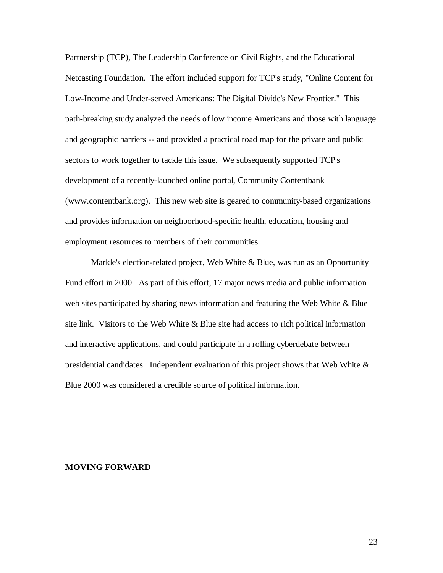Partnership (TCP), The Leadership Conference on Civil Rights, and the Educational Netcasting Foundation. The effort included support for TCP's study, "Online Content for Low-Income and Under-served Americans: The Digital Divide's New Frontier." This path-breaking study analyzed the needs of low income Americans and those with language and geographic barriers -- and provided a practical road map for the private and public sectors to work together to tackle this issue. We subsequently supported TCP's development of a recently-launched online portal, Community Contentbank (www.contentbank.org). This new web site is geared to community-based organizations and provides information on neighborhood-specific health, education, housing and employment resources to members of their communities.

Markle's election-related project, Web White & Blue, was run as an Opportunity Fund effort in 2000. As part of this effort, 17 major news media and public information web sites participated by sharing news information and featuring the Web White & Blue site link. Visitors to the Web White & Blue site had access to rich political information and interactive applications, and could participate in a rolling cyberdebate between presidential candidates. Independent evaluation of this project shows that Web White  $\&$ Blue 2000 was considered a credible source of political information.

#### **MOVING FORWARD**